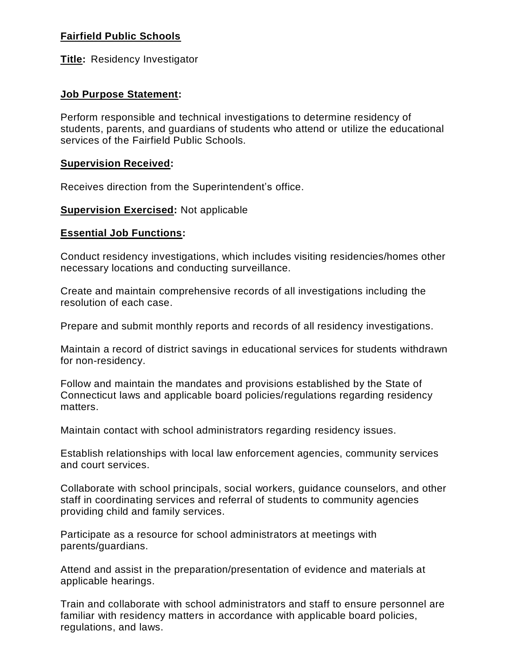# **Fairfield Public Schools**

**Title:** Residency Investigator

# **Job Purpose Statement:**

Perform responsible and technical investigations to determine residency of students, parents, and guardians of students who attend or utilize the educational services of the Fairfield Public Schools.

# **Supervision Received:**

Receives direction from the Superintendent's office.

# **Supervision Exercised: Not applicable**

### **Essential Job Functions:**

Conduct residency investigations, which includes visiting residencies/homes other necessary locations and conducting surveillance.

Create and maintain comprehensive records of all investigations including the resolution of each case.

Prepare and submit monthly reports and records of all residency investigations.

Maintain a record of district savings in educational services for students withdrawn for non-residency.

Follow and maintain the mandates and provisions established by the State of Connecticut laws and applicable board policies/regulations regarding residency matters.

Maintain contact with school administrators regarding residency issues.

Establish relationships with local law enforcement agencies, community services and court services.

Collaborate with school principals, social workers, guidance counselors, and other staff in coordinating services and referral of students to community agencies providing child and family services.

Participate as a resource for school administrators at meetings with parents/guardians.

Attend and assist in the preparation/presentation of evidence and materials at applicable hearings.

Train and collaborate with school administrators and staff to ensure personnel are familiar with residency matters in accordance with applicable board policies, regulations, and laws.